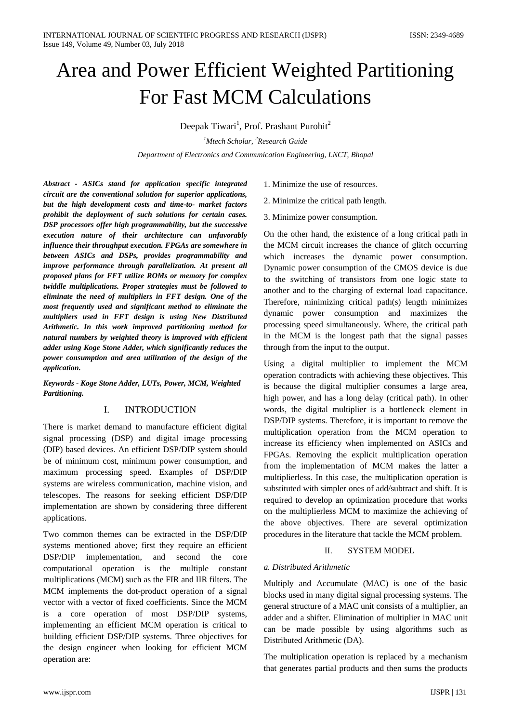# Area and Power Efficient Weighted Partitioning For Fast MCM Calculations

Deepak Tiwari<sup>1</sup>, Prof. Prashant Purohit<sup>2</sup>

*1 Mtech Scholar, 2 Research Guide Department of Electronics and Communication Engineering, LNCT, Bhopal*

*Abstract - ASICs stand for application specific integrated circuit are the conventional solution for superior applications, but the high development costs and time-to- market factors prohibit the deployment of such solutions for certain cases. DSP processors offer high programmability, but the successive execution nature of their architecture can unfavorably influence their throughput execution. FPGAs are somewhere in between ASICs and DSPs, provides programmability and improve performance through parallelization. At present all proposed plans for FFT utilize ROMs or memory for complex twiddle multiplications. Proper strategies must be followed to eliminate the need of multipliers in FFT design. One of the most frequently used and significant method to eliminate the multipliers used in FFT design is using New Distributed Arithmetic. In this work improved partitioning method for natural numbers by weighted theory is improved with efficient adder using Koge Stone Adder, which significantly reduces the power consumption and area utilization of the design of the application.*

*Keywords - Koge Stone Adder, LUTs, Power, MCM, Weighted Partitioning.*

## I. INTRODUCTION

There is market demand to manufacture efficient digital signal processing (DSP) and digital image processing (DIP) based devices. An efficient DSP/DIP system should be of minimum cost, minimum power consumption, and maximum processing speed. Examples of DSP/DIP systems are wireless communication, machine vision, and telescopes. The reasons for seeking efficient DSP/DIP implementation are shown by considering three different applications.

Two common themes can be extracted in the DSP/DIP systems mentioned above; first they require an efficient DSP/DIP implementation, and second the core computational operation is the multiple constant multiplications (MCM) such as the FIR and IIR filters. The MCM implements the dot-product operation of a signal vector with a vector of fixed coefficients. Since the MCM is a core operation of most DSP/DIP systems, implementing an efficient MCM operation is critical to building efficient DSP/DIP systems. Three objectives for the design engineer when looking for efficient MCM operation are:

- 1. Minimize the use of resources.
- 2. Minimize the critical path length.
- 3. Minimize power consumption.

On the other hand, the existence of a long critical path in the MCM circuit increases the chance of glitch occurring which increases the dynamic power consumption. Dynamic power consumption of the CMOS device is due to the switching of transistors from one logic state to another and to the charging of external load capacitance. Therefore, minimizing critical path(s) length minimizes dynamic power consumption and maximizes the processing speed simultaneously. Where, the critical path in the MCM is the longest path that the signal passes through from the input to the output.

Using a digital multiplier to implement the MCM operation contradicts with achieving these objectives. This is because the digital multiplier consumes a large area, high power, and has a long delay (critical path). In other words, the digital multiplier is a bottleneck element in DSP/DIP systems. Therefore, it is important to remove the multiplication operation from the MCM operation to increase its efficiency when implemented on ASICs and FPGAs. Removing the explicit multiplication operation from the implementation of MCM makes the latter a multiplierless. In this case, the multiplication operation is substituted with simpler ones of add/subtract and shift. It is required to develop an optimization procedure that works on the multiplierless MCM to maximize the achieving of the above objectives. There are several optimization procedures in the literature that tackle the MCM problem.

## II. SYSTEM MODEL

## *a. Distributed Arithmetic*

Multiply and Accumulate (MAC) is one of the basic blocks used in many digital signal processing systems. The general structure of a MAC unit consists of a multiplier, an adder and a shifter. Elimination of multiplier in MAC unit can be made possible by using algorithms such as Distributed Arithmetic (DA).

The multiplication operation is replaced by a mechanism that generates partial products and then sums the products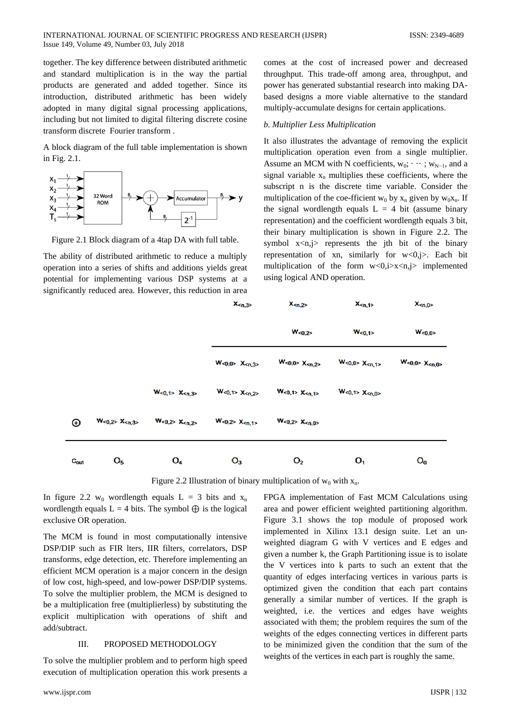together. The key difference between distributed arithmetic and standard multiplication is in the way the partial products are generated and added together. Since its introduction, distributed arithmetic has been widely adopted in many digital signal processing applications, including but not limited to digital filtering discrete cosine transform discrete Fourier transform .

A block diagram of the full table implementation is shown in Fig. 2.1.



Figure 2.1 Block diagram of a 4tap DA with full table.

The ability of distributed arithmetic to reduce a multiply operation into a series of shifts and additions yields great potential for implementing various DSP systems at a significantly reduced area. However, this reduction in area

comes at the cost of increased power and decreased throughput. This trade-off among area, throughput, and power has generated substantial research into making DAbased designs a more viable alternative to the standard multiply-accumulate designs for certain applications.

## *b. Multiplier Less Multiplication*

It also illustrates the advantage of removing the explicit multiplication operation even from a single multiplier. Assume an MCM with N coefficients,  $w_0$ ;  $\cdots$ ;  $w_{N-1}$ , and a signal variable  $x_n$  multiplies these coefficients, where the subscript n is the discrete time variable. Consider the multiplication of the coe-fficient w<sub>0</sub> by  $x_n$  given by w<sub>0</sub>x<sub>n</sub>. If the signal wordlength equals  $L = 4$  bit (assume binary representation) and the coefficient wordlength equals 3 bit, their binary multiplication is shown in Figure 2.2. The symbol  $x \le n, j$  represents the jth bit of the binary representation of xn, similarly for  $w<0, j$ . Each bit multiplication of the form  $w<0,i>x$  implemented using logical AND operation.

|             |                |                                     | X <sub>n,3</sub>                    | $X_{\le n,2}$                                        | $X_{\leq n,1>}$                     | X <sub>n,0</sub> |
|-------------|----------------|-------------------------------------|-------------------------------------|------------------------------------------------------|-------------------------------------|------------------|
|             |                |                                     |                                     | W <sub>0,2</sub>                                     | W <sub>0,1&gt;</sub>                | W <sub>0,0</sub> |
|             |                |                                     | W <sub>0,0</sub> > X <sub>n,3</sub> | W <sub>0,0</sub> > X <sub><n,2< sub=""></n,2<></sub> | W <sub>0,0</sub> > X <sub>n,1</sub> | $W0,0 > \chi$    |
|             |                | W <sub>0,1</sub> > X <sub>n,3</sub> | W <sub>0,1</sub> > X <sub>n,2</sub> | W <sub>0,1</sub> > X <sub>n,1</sub>                  | W <sub>0,1</sub> > X <sub>n,0</sub> |                  |
| $_{\oplus}$ | $W0,2 > Xn,3$  | $W0,2 > Xn,2$                       | W <sub>0,2</sub> > X <sub>n,1</sub> | W <sub>0,2</sub> > X <sub><n,0< sub=""></n,0<></sub> |                                     |                  |
| Cout        | O <sub>5</sub> | $O_4$                               | $O_3$                               | O <sub>2</sub>                                       | 01                                  | $O_0$            |

Figure 2.2 Illustration of binary multiplication of  $w_0$  with  $x_n$ .

In figure 2.2 w<sub>0</sub> wordlength equals  $L = 3$  bits and  $x_n$ wordlength equals L = 4 bits. The symbol  $\oplus$  is the logical exclusive OR operation.

The MCM is found in most computationally intensive DSP/DIP such as FIR lters, IIR filters, correlators, DSP transforms, edge detection, etc. Therefore implementing an efficient MCM operation is a major concern in the design of low cost, high-speed, and low-power DSP/DIP systems. To solve the multiplier problem, the MCM is designed to be a multiplication free (multiplierless) by substituting the explicit multiplication with operations of shift and add/subtract.

## III. PROPOSED METHODOLOGY

To solve the multiplier problem and to perform high speed execution of multiplication operation this work presents a FPGA implementation of Fast MCM Calculations using area and power efficient weighted partitioning algorithm. Figure 3.1 shows the top module of proposed work implemented in Xilinx 13.1 design suite. Let an unweighted diagram G with V vertices and E edges and given a number k, the Graph Partitioning issue is to isolate the V vertices into k parts to such an extent that the quantity of edges interfacing vertices in various parts is optimized given the condition that each part contains generally a similar number of vertices. If the graph is weighted, i.e. the vertices and edges have weights associated with them; the problem requires the sum of the weights of the edges connecting vertices in different parts to be minimized given the condition that the sum of the weights of the vertices in each part is roughly the same.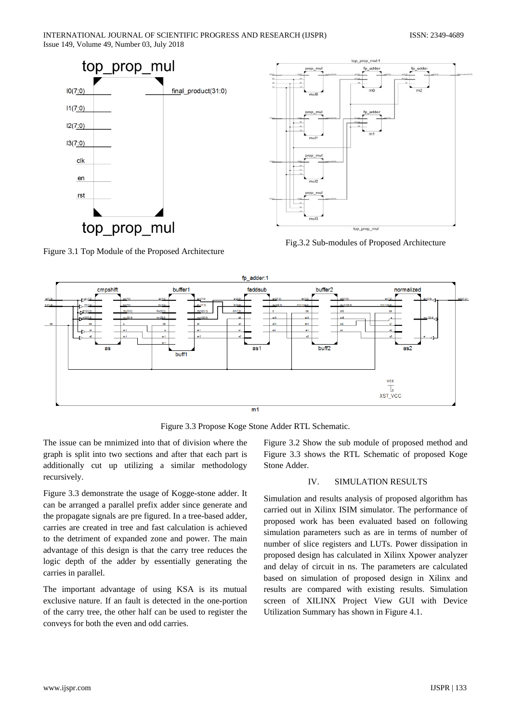



Fig.3.2 Sub-modules of Proposed Architecture

Figure 3.1 Top Module of the Proposed Architecture



Figure 3.3 Propose Koge Stone Adder RTL Schematic.

The issue can be mnimized into that of division where the graph is split into two sections and after that each part is additionally cut up utilizing a similar methodology recursively.

Figure 3.3 demonstrate the usage of Kogge-stone adder. It can be arranged a parallel prefix adder since generate and the propagate signals are pre figured. In a tree-based adder, carries are created in tree and fast calculation is achieved to the detriment of expanded zone and power. The main advantage of this design is that the carry tree reduces the logic depth of the adder by essentially generating the carries in parallel.

The important advantage of using KSA is its mutual exclusive nature. If an fault is detected in the one-portion of the carry tree, the other half can be used to register the conveys for both the even and odd carries.

Figure 3.2 Show the sub module of proposed method and Figure 3.3 shows the RTL Schematic of proposed Koge Stone Adder.

## IV. SIMULATION RESULTS

Simulation and results analysis of proposed algorithm has carried out in Xilinx ISIM simulator. The performance of proposed work has been evaluated based on following simulation parameters such as are in terms of number of number of slice registers and LUTs. Power dissipation in proposed design has calculated in Xilinx Xpower analyzer and delay of circuit in ns. The parameters are calculated based on simulation of proposed design in Xilinx and results are compared with existing results. Simulation screen of XILINX Project View GUI with Device Utilization Summary has shown in Figure 4.1.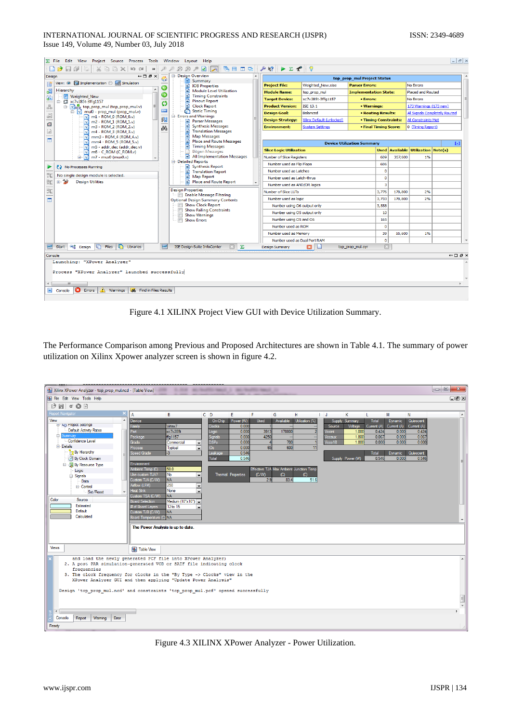|                                          | Eile Edit View Project Source Process Tools Window                                 |      | Lavout Help                                                              |  |                                                                     |                           |                                   |              |                       |                                           |                               | $  \approx$                              |
|------------------------------------------|------------------------------------------------------------------------------------|------|--------------------------------------------------------------------------|--|---------------------------------------------------------------------|---------------------------|-----------------------------------|--------------|-----------------------|-------------------------------------------|-------------------------------|------------------------------------------|
|                                          | 口之日印度<br>3602000<br>$\rightarrow$                                                  |      | $\boxtimes \boxtimes \boxtimes \boxtimes \boxtimes$                      |  | 后日ⅢB AR ▶∑ <del>?</del> ?                                           |                           |                                   |              |                       |                                           |                               |                                          |
| Design                                   | $H \Box B \times$                                                                  |      | <b>E-Design Overview</b>                                                 |  |                                                                     |                           | top_prop_mul Project Status       |              |                       |                                           |                               |                                          |
|                                          | View: @ 10 Implementation @ 8 Simulation                                           |      | Summary<br>m<br><b>IOB</b> Properties<br>n                               |  | <b>Project File:</b>                                                | Weighted New.xise         | <b>Parser Errors:</b>             |              |                       | <b>No Errors</b>                          |                               |                                          |
| Hierarchy<br>€                           |                                                                                    | G    | <b>Module Level Utilization</b><br>le i                                  |  | <b>Module Name:</b><br><b>Implementation State:</b><br>top_prop_mul |                           |                                   |              | Placed and Routed     |                                           |                               |                                          |
| 石                                        | Weighted New<br>□ (Xc7v285t-3ffq1157                                               | ⊝    | n<br><b>Timing Constraints</b><br><b>Pinout Report</b><br>n              |  | <b>Target Device:</b>                                               | xc7v285t-3ffg1157         | • Errors:                         |              |                       | No Errors                                 |                               |                                          |
| $\frac{\pi}{\pi}$                        | <b>E</b> View top prop mul (top prop mul.v)                                        | Ç5   | Clock Report                                                             |  | <b>Product Version:</b>                                             | <b>ISE 13.1</b>           | • Warnings:                       |              |                       | 173 Warnings (173 new)                    |                               |                                          |
|                                          | mul0 - prop_mul (prop_mul.v)                                                       | una. | Static Timing                                                            |  | <b>Design Goal:</b>                                                 | <b>Balanced</b>           | <b>• Routing Results:</b>         |              |                       |                                           | All Signals Completely Routed |                                          |
| £                                        | $\sqrt{}$ m1 - ROM_0 (ROM_0.v)<br>ल<br>m2 - ROM 1 (ROM 1.v)                        | 爼    | Errors and Warnings<br>Parser Messages                                   |  | <b>Design Strategy:</b>                                             | Xilinx Default (unlocked) |                                   |              | • Timing Constraints: | All Constraints Met                       |                               |                                          |
| Ø                                        | ऒ<br>m3 - ROM_2 (ROM_2.v)                                                          | 凸    | n<br><b>Synthesis Messages</b>                                           |  | <b>Environment:</b>                                                 | <b>System Settings</b>    | • Final Timing Score:             |              |                       | 0 (Timing Report)                         |                               |                                          |
| J.                                       | ल<br>m4 - ROM 3 (ROM 3.v)                                                          |      | <b>Translation Messages</b><br>n<br><b>Map Messages</b>                  |  |                                                                     |                           |                                   |              |                       |                                           |                               |                                          |
|                                          | जि<br>mm3 - ROM 4 (ROM 4.v)<br>ाज<br>mm4 - ROM_5 (ROM_5.v)                         |      | Ð<br>n<br><b>Place and Route Messages</b>                                |  |                                                                     |                           |                                   |              |                       |                                           |                               |                                          |
|                                          | M<br>m5 - addr dec (addr dec.v)                                                    |      | <b>Timing Messages</b><br>n                                              |  |                                                                     |                           | <b>Device Utilization Summary</b> |              |                       | <b>Used Available Utilization Note(s)</b> | E1                            |                                          |
|                                          | $m6 - C$ ROM (C ROM.v)<br>l٧l<br>$m$ 7 - mux0 (mux0.v)                             |      | <b>Bitgen Messages</b><br>All Implementation Messages<br>Ð               |  | <b>Slice Logic Utilization</b><br>Number of Slice Registers         |                           |                                   | 609          | 357,600               | 1%                                        |                               |                                          |
|                                          | l٧Ì<br>由                                                                           |      | <b>E-Detailed Reports</b>                                                |  |                                                                     |                           |                                   | 606          |                       |                                           |                               |                                          |
| Synthesis Report<br>No Processes Running |                                                                                    |      |                                                                          |  | Number used as Flip Flops<br>Number used as Latches                 |                           |                                   | $\bullet$    |                       |                                           |                               |                                          |
|                                          | No single design module is selected.                                               |      | 目<br><b>Translation Report</b><br><b>Map Report</b><br>n                 |  | Number used as Latch-thrus                                          |                           |                                   | $\circ$      |                       |                                           |                               |                                          |
| 號                                        | 由多<br><b>Design Utilities</b>                                                      |      | n<br><b>Place and Route Report</b>                                       |  | Number used as AND/OR logics                                        |                           |                                   | 3            |                       |                                           |                               |                                          |
| 乳                                        |                                                                                    |      | <b>Design Properties</b>                                                 |  | Number of Slice LUTs                                                |                           |                                   | 3,776        | 178,800               | 2%                                        |                               |                                          |
|                                          |                                                                                    |      | Enable Message Filtering                                                 |  | Number used as logic                                                |                           |                                   | 3,733        | 178,800               | 2%                                        |                               |                                          |
|                                          |                                                                                    |      | <b>Optional Design Summary Contents</b><br><b>Fill</b> Show Clock Report |  | Number using O6 output only                                         |                           |                                   | 3.558        |                       |                                           |                               |                                          |
|                                          |                                                                                    |      | Show Failing Constraints                                                 |  | Number using O5 output only                                         |                           |                                   | 10           |                       |                                           |                               |                                          |
|                                          |                                                                                    |      | Show Warnings<br><b>Show Errors</b>                                      |  | Number using O5 and O6                                              |                           |                                   | 165          |                       |                                           |                               |                                          |
|                                          |                                                                                    |      |                                                                          |  | Number used as ROM                                                  |                           |                                   | $\mathbf{o}$ |                       |                                           |                               |                                          |
|                                          |                                                                                    |      |                                                                          |  | Number used as Memory                                               |                           |                                   | 39           | 55,600                | 1%                                        |                               |                                          |
|                                          |                                                                                    |      |                                                                          |  | Number used as Dual Port RAM                                        |                           |                                   | $\circ$      |                       |                                           |                               |                                          |
| 15E                                      | <b>The Files In</b><br><sub>■</sub> Design<br>Libraries<br>Start                   | 15E  | $\Sigma$<br><b>ISE Design Suite InfoCenter</b>                           |  | <b>Design Summary</b>                                               |                           | top prop mul.syr                  | $\Box$       |                       |                                           |                               |                                          |
|                                          | Console                                                                            |      |                                                                          |  |                                                                     |                           |                                   |              |                       |                                           |                               | $\leftrightarrow$ $\Box$ $\Box$ $\times$ |
|                                          | Launching: "XPower Analyzer"                                                       |      |                                                                          |  |                                                                     |                           |                                   |              |                       |                                           |                               |                                          |
|                                          |                                                                                    |      |                                                                          |  |                                                                     |                           |                                   |              |                       |                                           |                               |                                          |
|                                          | Process "XPower Analyzer" launched successfully                                    |      |                                                                          |  |                                                                     |                           |                                   |              |                       |                                           |                               |                                          |
| $\leftarrow$                             | m                                                                                  |      |                                                                          |  |                                                                     |                           |                                   |              |                       |                                           |                               |                                          |
|                                          | <b>O</b> Errors<br><b>A</b> Warnings<br><b>26</b> Find in Files Results<br>Console |      |                                                                          |  |                                                                     |                           |                                   |              |                       |                                           |                               |                                          |
|                                          |                                                                                    |      |                                                                          |  |                                                                     |                           |                                   |              |                       |                                           |                               |                                          |
|                                          |                                                                                    |      |                                                                          |  |                                                                     |                           |                                   |              |                       |                                           |                               |                                          |

Figure 4.1 XILINX Project View GUI with Device Utilization Summary.

The Performance Comparison among Previous and Proposed Architectures are shown in Table 4.1. The summary of power utilization on Xilinx Xpower analyzer screen is shown in figure 4.2.



Figure 4.3 XILINX XPower Analyzer - Power Utilization.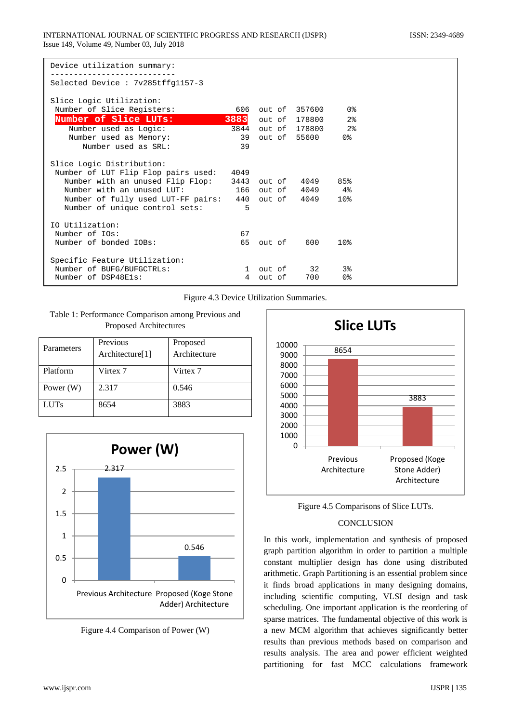| Device utilization summary:                            |                |        |                              |                |  |
|--------------------------------------------------------|----------------|--------|------------------------------|----------------|--|
| Selected Device : 7v285tffq1157-3                      |                |        |                              |                |  |
| Slice Logic Utilization:                               |                |        |                              |                |  |
| Number of Slice Registers:                             |                |        | 606 out of 357600 0%         |                |  |
| Number of Slice LUTs:                                  |                |        | <b>3883</b> out of 178800 2% |                |  |
| Number used as Logic:                                  |                |        | 3844 out of 178800 2%        |                |  |
| Number used as Memory:                                 |                |        | 39 out of 55600 0%           |                |  |
| Number used as SRL:                                    | 39             |        |                              |                |  |
| Slice Logic Distribution:                              |                |        |                              |                |  |
| Number of LUT Flip Flop pairs used:                    | 4049           |        |                              |                |  |
| Number with an unused Flip Flop:                       |                |        | 3443 out of 4049 85%         |                |  |
| Number with an unused LUT:                             |                |        | 166 out of 4049 4%           |                |  |
| Number of fully used LUT-FF pairs: 440 out of 4049 10% |                |        |                              |                |  |
| Number of unique control sets:                         | $\overline{5}$ |        |                              |                |  |
| IO Utilization:                                        |                |        |                              |                |  |
| Number of IOs:                                         | 67             |        |                              |                |  |
| Number of bonded IOBs:                                 |                |        | 65 out of 600 10%            |                |  |
|                                                        |                |        |                              |                |  |
| Specific Feature Utilization:                          |                |        |                              |                |  |
| Number of BUFG/BUFGCTRLs:                              |                |        | 1 out of 32                  | 3 <sup>8</sup> |  |
| Number of DSP48Els:                                    | 4              | out of | 700                          | 0%             |  |

Figure 4.3 Device Utilization Summaries.

Table 1: Performance Comparison among Previous and Proposed Architectures

| Parameters  | Previous<br>Architecture[1] | Proposed<br>Architecture |
|-------------|-----------------------------|--------------------------|
| Platform    | Virtex 7                    | Virtex 7                 |
| Power $(W)$ | 2.317                       | 0.546                    |
| <b>LUTs</b> | 8654                        | 3883                     |



Figure 4.4 Comparison of Power (W)



Figure 4.5 Comparisons of Slice LUTs.

## **CONCLUSION**

In this work, implementation and synthesis of proposed graph partition algorithm in order to partition a multiple constant multiplier design has done using distributed arithmetic. Graph Partitioning is an essential problem since it finds broad applications in many designing domains, including scientific computing, VLSI design and task scheduling. One important application is the reordering of sparse matrices. The fundamental objective of this work is a new MCM algorithm that achieves significantly better results than previous methods based on comparison and results analysis. The area and power efficient weighted partitioning for fast MCC calculations framework